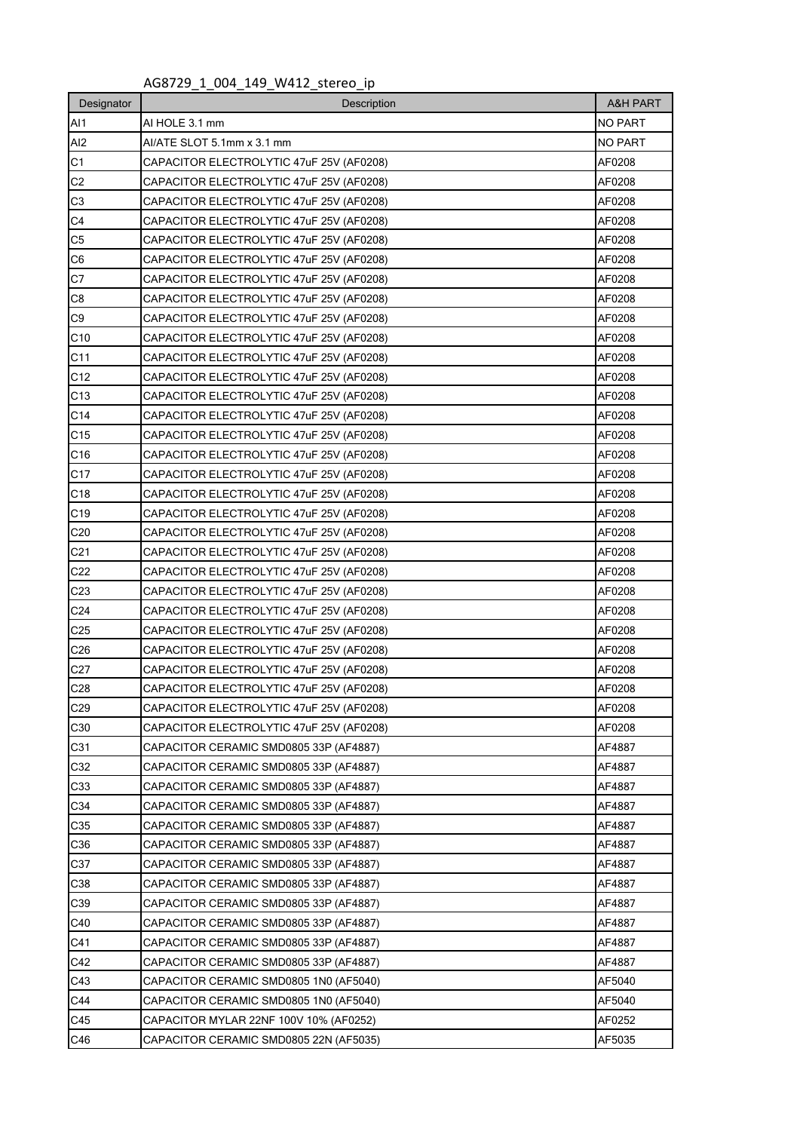## AG8729\_1\_004\_149\_W412\_stereo\_ip

| Designator      | Description                                        |                  |  |  |  |  |  |  |
|-----------------|----------------------------------------------------|------------------|--|--|--|--|--|--|
| AI1             | AI HOLE 3.1 mm                                     | <b>NO PART</b>   |  |  |  |  |  |  |
| AI2             | AI/ATE SLOT 5.1mm x 3.1 mm                         | <b>NO PART</b>   |  |  |  |  |  |  |
| C1              | CAPACITOR ELECTROLYTIC 47uF 25V (AF0208)           | AF0208           |  |  |  |  |  |  |
| C <sub>2</sub>  | CAPACITOR ELECTROLYTIC 47uF 25V (AF0208)           | AF0208           |  |  |  |  |  |  |
| C <sub>3</sub>  | CAPACITOR ELECTROLYTIC 47uF 25V (AF0208)           | AF0208           |  |  |  |  |  |  |
| C <sub>4</sub>  | CAPACITOR ELECTROLYTIC 47uF 25V (AF0208)           | AF0208           |  |  |  |  |  |  |
| C <sub>5</sub>  | CAPACITOR ELECTROLYTIC 47uF 25V (AF0208)           | AF0208           |  |  |  |  |  |  |
| C6              | CAPACITOR ELECTROLYTIC 47uF 25V (AF0208)           | AF0208           |  |  |  |  |  |  |
| C7              | CAPACITOR ELECTROLYTIC 47uF 25V (AF0208)<br>AF0208 |                  |  |  |  |  |  |  |
| C8              | CAPACITOR ELECTROLYTIC 47uF 25V (AF0208)<br>AF0208 |                  |  |  |  |  |  |  |
| C <sub>9</sub>  | CAPACITOR ELECTROLYTIC 47uF 25V (AF0208)<br>AF0208 |                  |  |  |  |  |  |  |
| C10             | CAPACITOR ELECTROLYTIC 47uF 25V (AF0208)           | AF0208           |  |  |  |  |  |  |
| C11             | CAPACITOR ELECTROLYTIC 47uF 25V (AF0208)           | AF0208           |  |  |  |  |  |  |
| C <sub>12</sub> | CAPACITOR ELECTROLYTIC 47uF 25V (AF0208)           | AF0208           |  |  |  |  |  |  |
| C13             | CAPACITOR ELECTROLYTIC 47uF 25V (AF0208)           | AF0208           |  |  |  |  |  |  |
| C14             | CAPACITOR ELECTROLYTIC 47uF 25V (AF0208)           | AF0208           |  |  |  |  |  |  |
| C <sub>15</sub> | CAPACITOR ELECTROLYTIC 47uF 25V (AF0208)           | AF0208           |  |  |  |  |  |  |
| C16             | CAPACITOR ELECTROLYTIC 47uF 25V (AF0208)           | AF0208           |  |  |  |  |  |  |
| C <sub>17</sub> | CAPACITOR ELECTROLYTIC 47uF 25V (AF0208)           | AF0208           |  |  |  |  |  |  |
| C <sub>18</sub> | CAPACITOR ELECTROLYTIC 47uF 25V (AF0208)<br>AF0208 |                  |  |  |  |  |  |  |
| C <sub>19</sub> | CAPACITOR ELECTROLYTIC 47uF 25V (AF0208)           |                  |  |  |  |  |  |  |
| C <sub>20</sub> | CAPACITOR ELECTROLYTIC 47uF 25V (AF0208)           |                  |  |  |  |  |  |  |
| C <sub>21</sub> | CAPACITOR ELECTROLYTIC 47uF 25V (AF0208)           | AF0208           |  |  |  |  |  |  |
| C <sub>22</sub> | CAPACITOR ELECTROLYTIC 47uF 25V (AF0208)           | AF0208           |  |  |  |  |  |  |
| C <sub>23</sub> | CAPACITOR ELECTROLYTIC 47uF 25V (AF0208)           | AF0208           |  |  |  |  |  |  |
| C <sub>24</sub> | CAPACITOR ELECTROLYTIC 47uF 25V (AF0208)           | AF0208           |  |  |  |  |  |  |
| C <sub>25</sub> | CAPACITOR ELECTROLYTIC 47uF 25V (AF0208)           | AF0208           |  |  |  |  |  |  |
| C <sub>26</sub> | CAPACITOR ELECTROLYTIC 47uF 25V (AF0208)           | AF0208           |  |  |  |  |  |  |
| C <sub>27</sub> | CAPACITOR ELECTROLYTIC 47uF 25V (AF0208)           | AF0208           |  |  |  |  |  |  |
| C28             | CAPACITOR ELECTROLYTIC 47uF 25V (AF0208)           | AF0208           |  |  |  |  |  |  |
| C29             | CAPACITOR ELECTROLYTIC 47uF 25V (AF0208)           | AF0208           |  |  |  |  |  |  |
| C30             | CAPACITOR ELECTROLYTIC 47uF 25V (AF0208)           | AF0208           |  |  |  |  |  |  |
| C31             | CAPACITOR CERAMIC SMD0805 33P (AF4887)             | AF4887           |  |  |  |  |  |  |
| C32             | CAPACITOR CERAMIC SMD0805 33P (AF4887)             | AF4887           |  |  |  |  |  |  |
| C33             | CAPACITOR CERAMIC SMD0805 33P (AF4887)             | AF4887           |  |  |  |  |  |  |
| C34             | CAPACITOR CERAMIC SMD0805 33P (AF4887)             | AF4887           |  |  |  |  |  |  |
| C35             | CAPACITOR CERAMIC SMD0805 33P (AF4887)             | AF4887           |  |  |  |  |  |  |
| C36             | CAPACITOR CERAMIC SMD0805 33P (AF4887)             |                  |  |  |  |  |  |  |
| C37             | CAPACITOR CERAMIC SMD0805 33P (AF4887)             |                  |  |  |  |  |  |  |
| C38             | CAPACITOR CERAMIC SMD0805 33P (AF4887)             | AF4887           |  |  |  |  |  |  |
| C39             | CAPACITOR CERAMIC SMD0805 33P (AF4887)             | AF4887           |  |  |  |  |  |  |
| C40             | CAPACITOR CERAMIC SMD0805 33P (AF4887)             | AF4887           |  |  |  |  |  |  |
| C41             | CAPACITOR CERAMIC SMD0805 33P (AF4887)             | AF4887<br>AF4887 |  |  |  |  |  |  |
| C42             | CAPACITOR CERAMIC SMD0805 33P (AF4887)             |                  |  |  |  |  |  |  |
| C43             | CAPACITOR CERAMIC SMD0805 1N0 (AF5040)<br>AF5040   |                  |  |  |  |  |  |  |
| C44             | CAPACITOR CERAMIC SMD0805 1N0 (AF5040)             | AF5040<br>AF0252 |  |  |  |  |  |  |
| C45             | CAPACITOR MYLAR 22NF 100V 10% (AF0252)             |                  |  |  |  |  |  |  |
| C46             | CAPACITOR CERAMIC SMD0805 22N (AF5035)             |                  |  |  |  |  |  |  |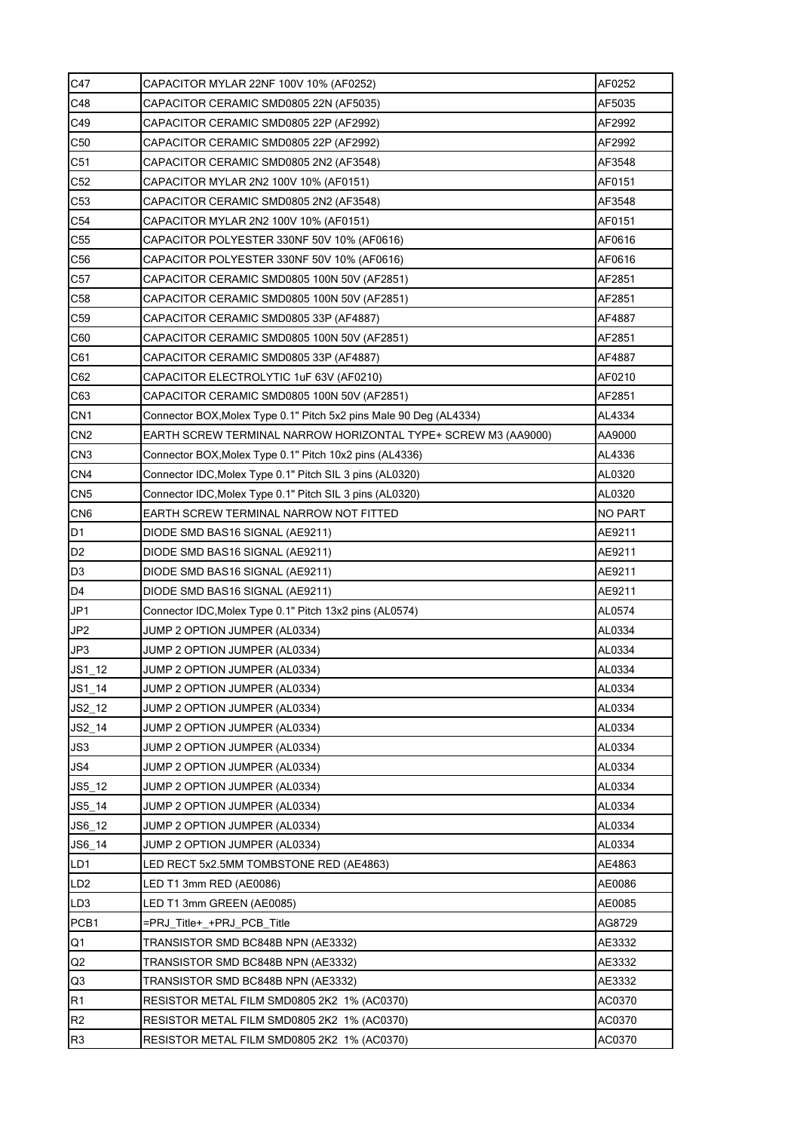| C47             | AF0252<br>CAPACITOR MYLAR 22NF 100V 10% (AF0252)                                                              |        |  |  |  |  |  |  |  |  |
|-----------------|---------------------------------------------------------------------------------------------------------------|--------|--|--|--|--|--|--|--|--|
| C48             | AF5035<br>CAPACITOR CERAMIC SMD0805 22N (AF5035)                                                              |        |  |  |  |  |  |  |  |  |
| C49             | CAPACITOR CERAMIC SMD0805 22P (AF2992)<br>AF2992                                                              |        |  |  |  |  |  |  |  |  |
| C50             | CAPACITOR CERAMIC SMD0805 22P (AF2992)                                                                        | AF2992 |  |  |  |  |  |  |  |  |
| C <sub>51</sub> | CAPACITOR CERAMIC SMD0805 2N2 (AF3548)                                                                        | AF3548 |  |  |  |  |  |  |  |  |
| C <sub>52</sub> | CAPACITOR MYLAR 2N2 100V 10% (AF0151)                                                                         | AF0151 |  |  |  |  |  |  |  |  |
| C53             | CAPACITOR CERAMIC SMD0805 2N2 (AF3548)                                                                        | AF3548 |  |  |  |  |  |  |  |  |
| C <sub>54</sub> | CAPACITOR MYLAR 2N2 100V 10% (AF0151)                                                                         | AF0151 |  |  |  |  |  |  |  |  |
| C55             | CAPACITOR POLYESTER 330NF 50V 10% (AF0616)                                                                    | AF0616 |  |  |  |  |  |  |  |  |
| C56             | CAPACITOR POLYESTER 330NF 50V 10% (AF0616)<br>AF0616<br>AF2851<br>CAPACITOR CERAMIC SMD0805 100N 50V (AF2851) |        |  |  |  |  |  |  |  |  |
| C <sub>57</sub> |                                                                                                               |        |  |  |  |  |  |  |  |  |
| C58             | CAPACITOR CERAMIC SMD0805 100N 50V (AF2851)<br>AF2851                                                         |        |  |  |  |  |  |  |  |  |
| C <sub>59</sub> | CAPACITOR CERAMIC SMD0805 33P (AF4887)<br>AF4887                                                              |        |  |  |  |  |  |  |  |  |
| C60             | CAPACITOR CERAMIC SMD0805 100N 50V (AF2851)<br>AF2851                                                         |        |  |  |  |  |  |  |  |  |
| C61             | CAPACITOR CERAMIC SMD0805 33P (AF4887)<br>AF4887                                                              |        |  |  |  |  |  |  |  |  |
| C62             | CAPACITOR ELECTROLYTIC 1uF 63V (AF0210)<br>AF0210                                                             |        |  |  |  |  |  |  |  |  |
| C63             | AF2851<br>CAPACITOR CERAMIC SMD0805 100N 50V (AF2851)                                                         |        |  |  |  |  |  |  |  |  |
| CN <sub>1</sub> | Connector BOX, Molex Type 0.1" Pitch 5x2 pins Male 90 Deg (AL4334)                                            | AL4334 |  |  |  |  |  |  |  |  |
| CN <sub>2</sub> | EARTH SCREW TERMINAL NARROW HORIZONTAL TYPE+ SCREW M3 (AA9000)<br>AA9000                                      |        |  |  |  |  |  |  |  |  |
| CN <sub>3</sub> | Connector BOX, Molex Type 0.1" Pitch 10x2 pins (AL4336)                                                       | AL4336 |  |  |  |  |  |  |  |  |
| CN <sub>4</sub> | AL0320<br>Connector IDC, Molex Type 0.1" Pitch SIL 3 pins (AL0320)                                            |        |  |  |  |  |  |  |  |  |
| CN <sub>5</sub> | Connector IDC, Molex Type 0.1" Pitch SIL 3 pins (AL0320)<br>AL0320                                            |        |  |  |  |  |  |  |  |  |
| CN <sub>6</sub> | EARTH SCREW TERMINAL NARROW NOT FITTED<br><b>NO PART</b>                                                      |        |  |  |  |  |  |  |  |  |
| D <sub>1</sub>  | AE9211<br>DIODE SMD BAS16 SIGNAL (AE9211)                                                                     |        |  |  |  |  |  |  |  |  |
| D <sub>2</sub>  | DIODE SMD BAS16 SIGNAL (AE9211)<br>AE9211                                                                     |        |  |  |  |  |  |  |  |  |
| D <sub>3</sub>  | DIODE SMD BAS16 SIGNAL (AE9211)<br>AE9211                                                                     |        |  |  |  |  |  |  |  |  |
| D <sub>4</sub>  | DIODE SMD BAS16 SIGNAL (AE9211)                                                                               | AE9211 |  |  |  |  |  |  |  |  |
| JP1             | Connector IDC, Molex Type 0.1" Pitch 13x2 pins (AL0574)                                                       | AL0574 |  |  |  |  |  |  |  |  |
| JP <sub>2</sub> | JUMP 2 OPTION JUMPER (AL0334)                                                                                 | AL0334 |  |  |  |  |  |  |  |  |
| JP3             | JUMP 2 OPTION JUMPER (AL0334)<br>AL0334                                                                       |        |  |  |  |  |  |  |  |  |
| $JS1_12$        | JUMP 2 OPTION JUMPER (AL0334)<br>AL0334                                                                       |        |  |  |  |  |  |  |  |  |
| JS1 14          | JUMP 2 OPTION JUMPER (AL0334)<br>AL0334                                                                       |        |  |  |  |  |  |  |  |  |
| $JS2_12$        | AL0334<br>JUMP 2 OPTION JUMPER (AL0334)                                                                       |        |  |  |  |  |  |  |  |  |
| $JS2_14$        | JUMP 2 OPTION JUMPER (AL0334)                                                                                 | AL0334 |  |  |  |  |  |  |  |  |
| JS3             | JUMP 2 OPTION JUMPER (AL0334)                                                                                 | AL0334 |  |  |  |  |  |  |  |  |
| JS4             | JUMP 2 OPTION JUMPER (AL0334)                                                                                 | AL0334 |  |  |  |  |  |  |  |  |
| $JS5_12$        | JUMP 2 OPTION JUMPER (AL0334)                                                                                 | AL0334 |  |  |  |  |  |  |  |  |
| $JS5_14$        | JUMP 2 OPTION JUMPER (AL0334)                                                                                 | AL0334 |  |  |  |  |  |  |  |  |
| JS6 12          | JUMP 2 OPTION JUMPER (AL0334)                                                                                 | AL0334 |  |  |  |  |  |  |  |  |
| JS6_14          | JUMP 2 OPTION JUMPER (AL0334)                                                                                 | AL0334 |  |  |  |  |  |  |  |  |
| LD1             | AE4863<br>LED RECT 5x2.5MM TOMBSTONE RED (AE4863)                                                             |        |  |  |  |  |  |  |  |  |
| LD <sub>2</sub> | LED T1 3mm RED (AE0086)<br>AE0086                                                                             |        |  |  |  |  |  |  |  |  |
| LD <sub>3</sub> | LED T1 3mm GREEN (AE0085)<br>AE0085                                                                           |        |  |  |  |  |  |  |  |  |
| PCB1            | =PRJ_Title+_+PRJ_PCB_Title<br>AG8729                                                                          |        |  |  |  |  |  |  |  |  |
| Q1              | AE3332<br>TRANSISTOR SMD BC848B NPN (AE3332)                                                                  |        |  |  |  |  |  |  |  |  |
| Q2              | TRANSISTOR SMD BC848B NPN (AE3332)                                                                            | AE3332 |  |  |  |  |  |  |  |  |
| Q3              | TRANSISTOR SMD BC848B NPN (AE3332)                                                                            | AE3332 |  |  |  |  |  |  |  |  |
| R1              | RESISTOR METAL FILM SMD0805 2K2 1% (AC0370)                                                                   | AC0370 |  |  |  |  |  |  |  |  |
| R <sub>2</sub>  | RESISTOR METAL FILM SMD0805 2K2 1% (AC0370)                                                                   | AC0370 |  |  |  |  |  |  |  |  |
| R <sub>3</sub>  | AC0370<br>RESISTOR METAL FILM SMD0805 2K2 1% (AC0370)                                                         |        |  |  |  |  |  |  |  |  |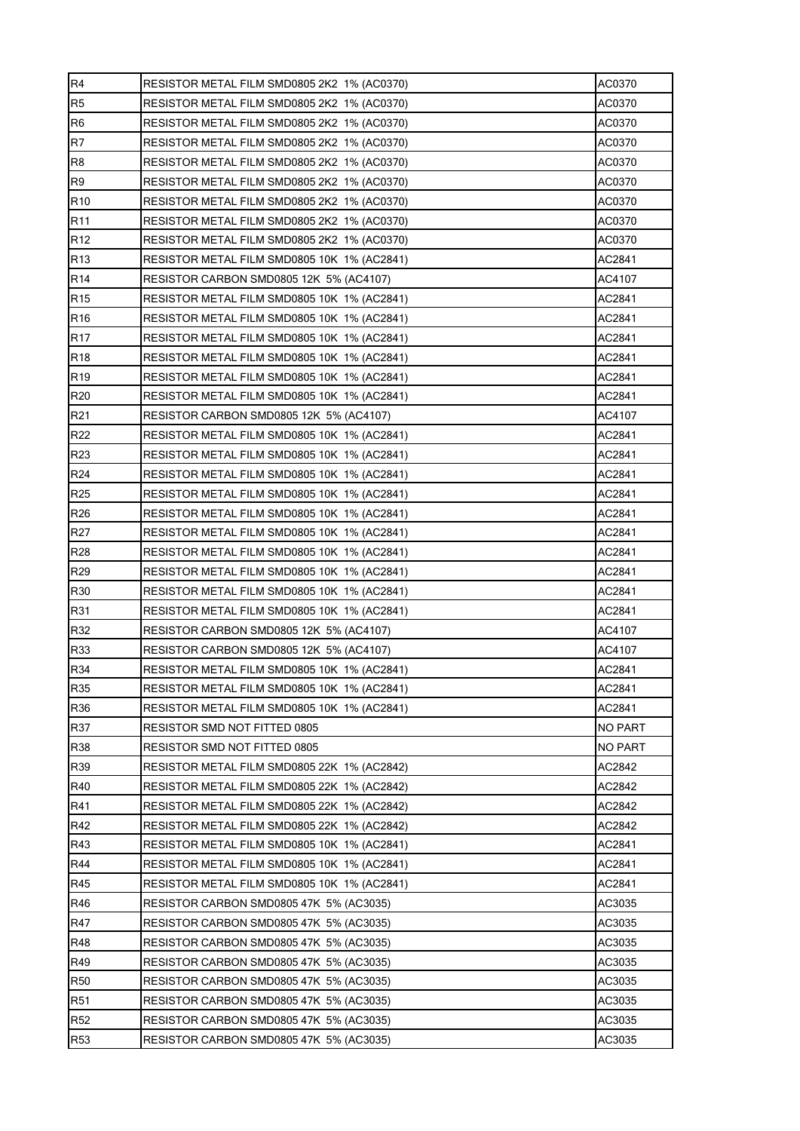| R <sub>4</sub>  | RESISTOR METAL FILM SMD0805 2K2 1% (AC0370)           | AC0370  |  |  |  |  |  |  |  |  |
|-----------------|-------------------------------------------------------|---------|--|--|--|--|--|--|--|--|
| R <sub>5</sub>  | RESISTOR METAL FILM SMD0805 2K2 1% (AC0370)           | AC0370  |  |  |  |  |  |  |  |  |
| R <sub>6</sub>  | AC0370<br>RESISTOR METAL FILM SMD0805 2K2 1% (AC0370) |         |  |  |  |  |  |  |  |  |
| R7              | RESISTOR METAL FILM SMD0805 2K2 1% (AC0370)           | AC0370  |  |  |  |  |  |  |  |  |
| R <sub>8</sub>  | RESISTOR METAL FILM SMD0805 2K2 1% (AC0370)           | AC0370  |  |  |  |  |  |  |  |  |
| R <sub>9</sub>  | RESISTOR METAL FILM SMD0805 2K2 1% (AC0370)           | AC0370  |  |  |  |  |  |  |  |  |
| R <sub>10</sub> | RESISTOR METAL FILM SMD0805 2K2 1% (AC0370)           | AC0370  |  |  |  |  |  |  |  |  |
| R <sub>11</sub> | RESISTOR METAL FILM SMD0805 2K2 1% (AC0370)           | AC0370  |  |  |  |  |  |  |  |  |
| R <sub>12</sub> | RESISTOR METAL FILM SMD0805 2K2 1% (AC0370)           | AC0370  |  |  |  |  |  |  |  |  |
| R <sub>13</sub> | RESISTOR METAL FILM SMD0805 10K 1% (AC2841)           | AC2841  |  |  |  |  |  |  |  |  |
| R <sub>14</sub> | RESISTOR CARBON SMD0805 12K 5% (AC4107)               | AC4107  |  |  |  |  |  |  |  |  |
| R <sub>15</sub> | RESISTOR METAL FILM SMD0805 10K 1% (AC2841)           | AC2841  |  |  |  |  |  |  |  |  |
| R <sub>16</sub> | RESISTOR METAL FILM SMD0805 10K 1% (AC2841)           | AC2841  |  |  |  |  |  |  |  |  |
| <b>R17</b>      | RESISTOR METAL FILM SMD0805 10K 1% (AC2841)           | AC2841  |  |  |  |  |  |  |  |  |
| R <sub>18</sub> | AC2841<br>RESISTOR METAL FILM SMD0805 10K 1% (AC2841) |         |  |  |  |  |  |  |  |  |
| R <sub>19</sub> | AC2841<br>RESISTOR METAL FILM SMD0805 10K 1% (AC2841) |         |  |  |  |  |  |  |  |  |
| R20             | AC2841<br>RESISTOR METAL FILM SMD0805 10K 1% (AC2841) |         |  |  |  |  |  |  |  |  |
| R21             | RESISTOR CARBON SMD0805 12K 5% (AC4107)               | AC4107  |  |  |  |  |  |  |  |  |
| R <sub>22</sub> | RESISTOR METAL FILM SMD0805 10K 1% (AC2841)           | AC2841  |  |  |  |  |  |  |  |  |
| R <sub>23</sub> | RESISTOR METAL FILM SMD0805 10K 1% (AC2841)           | AC2841  |  |  |  |  |  |  |  |  |
| R24             | RESISTOR METAL FILM SMD0805 10K 1% (AC2841)           | AC2841  |  |  |  |  |  |  |  |  |
| R <sub>25</sub> | RESISTOR METAL FILM SMD0805 10K 1% (AC2841)           | AC2841  |  |  |  |  |  |  |  |  |
| R <sub>26</sub> | RESISTOR METAL FILM SMD0805 10K 1% (AC2841)           | AC2841  |  |  |  |  |  |  |  |  |
| R <sub>27</sub> | RESISTOR METAL FILM SMD0805 10K 1% (AC2841)           | AC2841  |  |  |  |  |  |  |  |  |
| R28             | RESISTOR METAL FILM SMD0805 10K 1% (AC2841)           | AC2841  |  |  |  |  |  |  |  |  |
| R29             | RESISTOR METAL FILM SMD0805 10K 1% (AC2841)           | AC2841  |  |  |  |  |  |  |  |  |
| R30             | RESISTOR METAL FILM SMD0805 10K 1% (AC2841)           | AC2841  |  |  |  |  |  |  |  |  |
| R31             | RESISTOR METAL FILM SMD0805 10K 1% (AC2841)           | AC2841  |  |  |  |  |  |  |  |  |
| R32             | RESISTOR CARBON SMD0805 12K 5% (AC4107)               | AC4107  |  |  |  |  |  |  |  |  |
| R33             | RESISTOR CARBON SMD0805 12K 5% (AC4107)               | AC4107  |  |  |  |  |  |  |  |  |
| R34             | RESISTOR METAL FILM SMD0805 10K 1% (AC2841)           | AC2841  |  |  |  |  |  |  |  |  |
| <b>R35</b>      | RESISTOR METAL FILM SMD0805 10K 1% (AC2841)           | AC2841  |  |  |  |  |  |  |  |  |
| R36             | RESISTOR METAL FILM SMD0805 10K 1% (AC2841)           | AC2841  |  |  |  |  |  |  |  |  |
| R37             | RESISTOR SMD NOT FITTED 0805                          | NO PART |  |  |  |  |  |  |  |  |
| R38             | RESISTOR SMD NOT FITTED 0805                          | NO PART |  |  |  |  |  |  |  |  |
| R39             | RESISTOR METAL FILM SMD0805 22K 1% (AC2842)           | AC2842  |  |  |  |  |  |  |  |  |
| R40             | RESISTOR METAL FILM SMD0805 22K 1% (AC2842)           | AC2842  |  |  |  |  |  |  |  |  |
| R41             | RESISTOR METAL FILM SMD0805 22K 1% (AC2842)           | AC2842  |  |  |  |  |  |  |  |  |
| R42             | RESISTOR METAL FILM SMD0805 22K 1% (AC2842)           | AC2842  |  |  |  |  |  |  |  |  |
| R43             | RESISTOR METAL FILM SMD0805 10K 1% (AC2841)           | AC2841  |  |  |  |  |  |  |  |  |
| R44             | RESISTOR METAL FILM SMD0805 10K 1% (AC2841)           | AC2841  |  |  |  |  |  |  |  |  |
| R45             | RESISTOR METAL FILM SMD0805 10K 1% (AC2841)           | AC2841  |  |  |  |  |  |  |  |  |
| R46             | RESISTOR CARBON SMD0805 47K 5% (AC3035)               | AC3035  |  |  |  |  |  |  |  |  |
| <b>R47</b>      | RESISTOR CARBON SMD0805 47K 5% (AC3035)               | AC3035  |  |  |  |  |  |  |  |  |
| R48             | RESISTOR CARBON SMD0805 47K 5% (AC3035)               | AC3035  |  |  |  |  |  |  |  |  |
| R49             | RESISTOR CARBON SMD0805 47K 5% (AC3035)               | AC3035  |  |  |  |  |  |  |  |  |
| <b>R50</b>      | RESISTOR CARBON SMD0805 47K 5% (AC3035)               | AC3035  |  |  |  |  |  |  |  |  |
| <b>R51</b>      | RESISTOR CARBON SMD0805 47K 5% (AC3035)               | AC3035  |  |  |  |  |  |  |  |  |
| <b>R52</b>      | AC3035<br>RESISTOR CARBON SMD0805 47K 5% (AC3035)     |         |  |  |  |  |  |  |  |  |
| <b>R53</b>      | AC3035<br>RESISTOR CARBON SMD0805 47K 5% (AC3035)     |         |  |  |  |  |  |  |  |  |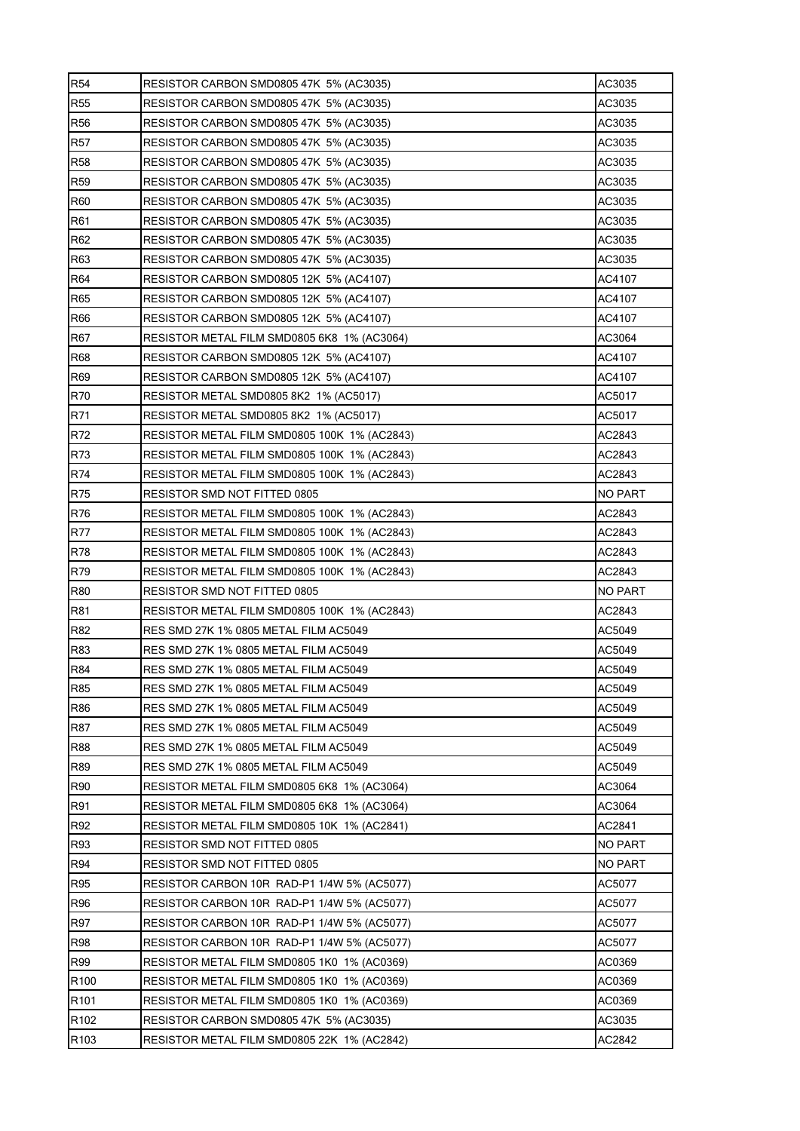| <b>R54</b>       | RESISTOR CARBON SMD0805 47K 5% (AC3035)                                                         | AC3035         |  |  |  |  |  |  |  |  |
|------------------|-------------------------------------------------------------------------------------------------|----------------|--|--|--|--|--|--|--|--|
| <b>R55</b>       | RESISTOR CARBON SMD0805 47K 5% (AC3035)<br>AC3035                                               |                |  |  |  |  |  |  |  |  |
| <b>R56</b>       | RESISTOR CARBON SMD0805 47K 5% (AC3035)                                                         | AC3035         |  |  |  |  |  |  |  |  |
| <b>R57</b>       | RESISTOR CARBON SMD0805 47K 5% (AC3035)                                                         | AC3035         |  |  |  |  |  |  |  |  |
| <b>R58</b>       | RESISTOR CARBON SMD0805 47K 5% (AC3035)                                                         | AC3035         |  |  |  |  |  |  |  |  |
| <b>R59</b>       | RESISTOR CARBON SMD0805 47K 5% (AC3035)                                                         | AC3035         |  |  |  |  |  |  |  |  |
| <b>R60</b>       | RESISTOR CARBON SMD0805 47K 5% (AC3035)                                                         | AC3035         |  |  |  |  |  |  |  |  |
| R61              | RESISTOR CARBON SMD0805 47K 5% (AC3035)                                                         | AC3035         |  |  |  |  |  |  |  |  |
| R <sub>62</sub>  | RESISTOR CARBON SMD0805 47K 5% (AC3035)                                                         | AC3035         |  |  |  |  |  |  |  |  |
| R63              | RESISTOR CARBON SMD0805 47K 5% (AC3035)                                                         | AC3035         |  |  |  |  |  |  |  |  |
| R64              | AC4107<br>RESISTOR CARBON SMD0805 12K 5% (AC4107)<br>RESISTOR CARBON SMD0805 12K 5% (AC4107)    |                |  |  |  |  |  |  |  |  |
| R65              | AC4107<br>RESISTOR CARBON SMD0805 12K 5% (AC4107)<br>AC4107                                     |                |  |  |  |  |  |  |  |  |
| <b>R66</b>       |                                                                                                 |                |  |  |  |  |  |  |  |  |
| R67              | RESISTOR METAL FILM SMD0805 6K8 1% (AC3064)<br>AC3064                                           |                |  |  |  |  |  |  |  |  |
| <b>R68</b>       | RESISTOR CARBON SMD0805 12K 5% (AC4107)<br>AC4107                                               |                |  |  |  |  |  |  |  |  |
| R69              | RESISTOR CARBON SMD0805 12K 5% (AC4107)<br>AC4107                                               |                |  |  |  |  |  |  |  |  |
| R70              | AC5017<br>RESISTOR METAL SMD0805 8K2 1% (AC5017)                                                |                |  |  |  |  |  |  |  |  |
| R71              | RESISTOR METAL SMD0805 8K2 1% (AC5017)<br>AC5017                                                |                |  |  |  |  |  |  |  |  |
| R72              | RESISTOR METAL FILM SMD0805 100K 1% (AC2843)<br>AC2843                                          |                |  |  |  |  |  |  |  |  |
| R73              | RESISTOR METAL FILM SMD0805 100K 1% (AC2843)<br>AC2843                                          |                |  |  |  |  |  |  |  |  |
| R74              | RESISTOR METAL FILM SMD0805 100K 1% (AC2843)<br>AC2843                                          |                |  |  |  |  |  |  |  |  |
| <b>R75</b>       | NO PART<br>RESISTOR SMD NOT FITTED 0805                                                         |                |  |  |  |  |  |  |  |  |
| R76              | RESISTOR METAL FILM SMD0805 100K 1% (AC2843)<br>AC2843                                          |                |  |  |  |  |  |  |  |  |
| <b>R77</b>       | RESISTOR METAL FILM SMD0805 100K 1% (AC2843)<br>AC2843                                          |                |  |  |  |  |  |  |  |  |
| R78              | RESISTOR METAL FILM SMD0805 100K 1% (AC2843)<br>AC2843                                          |                |  |  |  |  |  |  |  |  |
| R79              | RESISTOR METAL FILM SMD0805 100K 1% (AC2843)<br>AC2843                                          |                |  |  |  |  |  |  |  |  |
| <b>R80</b>       | RESISTOR SMD NOT FITTED 0805<br>NO PART                                                         |                |  |  |  |  |  |  |  |  |
| R81              | AC2843<br>RESISTOR METAL FILM SMD0805 100K 1% (AC2843)<br>RES SMD 27K 1% 0805 METAL FILM AC5049 |                |  |  |  |  |  |  |  |  |
| R82              | AC5049<br>RES SMD 27K 1% 0805 METAL FILM AC5049<br>AC5049                                       |                |  |  |  |  |  |  |  |  |
| R83              | RES SMD 27K 1% 0805 METAL FILM AC5049<br>AC5049                                                 |                |  |  |  |  |  |  |  |  |
| <b>R84</b>       | RES SMD 27K 1% 0805 METAL FILM AC5049                                                           |                |  |  |  |  |  |  |  |  |
| R85              | AC5049                                                                                          |                |  |  |  |  |  |  |  |  |
| R86              | AC5049<br>RES SMD 27K 1% 0805 METAL FILM AC5049                                                 |                |  |  |  |  |  |  |  |  |
| R87              | RES SMD 27K 1% 0805 METAL FILM AC5049<br>AC5049                                                 |                |  |  |  |  |  |  |  |  |
| <b>R88</b>       | AC5049<br>RES SMD 27K 1% 0805 METAL FILM AC5049                                                 |                |  |  |  |  |  |  |  |  |
| <b>R89</b>       | RES SMD 27K 1% 0805 METAL FILM AC5049                                                           | AC5049         |  |  |  |  |  |  |  |  |
| R90              | RESISTOR METAL FILM SMD0805 6K8 1% (AC3064)                                                     | AC3064         |  |  |  |  |  |  |  |  |
| R91              | RESISTOR METAL FILM SMD0805 6K8 1% (AC3064)                                                     | AC3064         |  |  |  |  |  |  |  |  |
| R92              | RESISTOR METAL FILM SMD0805 10K 1% (AC2841)                                                     | AC2841         |  |  |  |  |  |  |  |  |
| R93              | RESISTOR SMD NOT FITTED 0805                                                                    | <b>NO PART</b> |  |  |  |  |  |  |  |  |
| R94              | RESISTOR SMD NOT FITTED 0805<br>NO PART                                                         |                |  |  |  |  |  |  |  |  |
| <b>R95</b>       | AC5077<br>RESISTOR CARBON 10R RAD-P1 1/4W 5% (AC5077)                                           |                |  |  |  |  |  |  |  |  |
| <b>R96</b>       | AC5077<br>RESISTOR CARBON 10R RAD-P1 1/4W 5% (AC5077)                                           |                |  |  |  |  |  |  |  |  |
| R97              | AC5077<br>RESISTOR CARBON 10R RAD-P1 1/4W 5% (AC5077)                                           |                |  |  |  |  |  |  |  |  |
| <b>R98</b>       | AC5077<br>RESISTOR CARBON 10R RAD-P1 1/4W 5% (AC5077)                                           |                |  |  |  |  |  |  |  |  |
| R99              | RESISTOR METAL FILM SMD0805 1K0 1% (AC0369)<br>AC0369                                           |                |  |  |  |  |  |  |  |  |
| R <sub>100</sub> | RESISTOR METAL FILM SMD0805 1K0 1% (AC0369)                                                     | AC0369         |  |  |  |  |  |  |  |  |
| R <sub>101</sub> | RESISTOR METAL FILM SMD0805 1K0 1% (AC0369)                                                     | AC0369         |  |  |  |  |  |  |  |  |
| R <sub>102</sub> | RESISTOR CARBON SMD0805 47K 5% (AC3035)<br>AC3035<br>AC2842                                     |                |  |  |  |  |  |  |  |  |
| R <sub>103</sub> | RESISTOR METAL FILM SMD0805 22K 1% (AC2842)                                                     |                |  |  |  |  |  |  |  |  |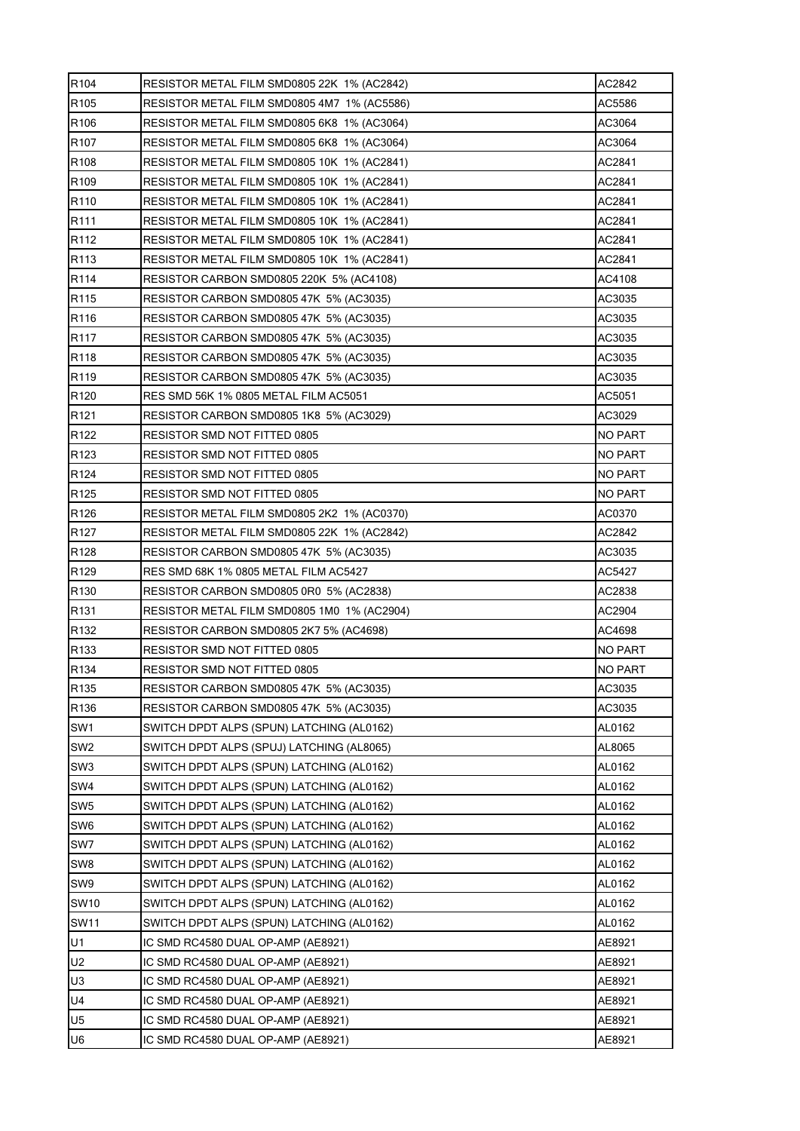| R <sub>104</sub> | RESISTOR METAL FILM SMD0805 22K 1% (AC2842)                                                             | AC2842 |  |  |  |  |  |  |  |  |
|------------------|---------------------------------------------------------------------------------------------------------|--------|--|--|--|--|--|--|--|--|
| R <sub>105</sub> | AC5586<br>RESISTOR METAL FILM SMD0805 4M7 1% (AC5586)                                                   |        |  |  |  |  |  |  |  |  |
| R <sub>106</sub> | RESISTOR METAL FILM SMD0805 6K8 1% (AC3064)<br>AC3064                                                   |        |  |  |  |  |  |  |  |  |
| R <sub>107</sub> | RESISTOR METAL FILM SMD0805 6K8 1% (AC3064)                                                             | AC3064 |  |  |  |  |  |  |  |  |
| R108             | RESISTOR METAL FILM SMD0805 10K 1% (AC2841)                                                             | AC2841 |  |  |  |  |  |  |  |  |
| R <sub>109</sub> | RESISTOR METAL FILM SMD0805 10K 1% (AC2841)                                                             | AC2841 |  |  |  |  |  |  |  |  |
| R110             | RESISTOR METAL FILM SMD0805 10K 1% (AC2841)                                                             | AC2841 |  |  |  |  |  |  |  |  |
| R111             | RESISTOR METAL FILM SMD0805 10K 1% (AC2841)                                                             | AC2841 |  |  |  |  |  |  |  |  |
| R112             | RESISTOR METAL FILM SMD0805 10K 1% (AC2841)                                                             | AC2841 |  |  |  |  |  |  |  |  |
| R113             | RESISTOR METAL FILM SMD0805 10K 1% (AC2841)                                                             | AC2841 |  |  |  |  |  |  |  |  |
| R <sub>114</sub> | RESISTOR CARBON SMD0805 220K 5% (AC4108)<br>AC4108<br>AC3035<br>RESISTOR CARBON SMD0805 47K 5% (AC3035) |        |  |  |  |  |  |  |  |  |
| R115             |                                                                                                         |        |  |  |  |  |  |  |  |  |
| R <sub>116</sub> | AC3035<br>RESISTOR CARBON SMD0805 47K 5% (AC3035)                                                       |        |  |  |  |  |  |  |  |  |
| R <sub>117</sub> | AC3035<br>RESISTOR CARBON SMD0805 47K 5% (AC3035)                                                       |        |  |  |  |  |  |  |  |  |
| R118             | AC3035<br>RESISTOR CARBON SMD0805 47K 5% (AC3035)                                                       |        |  |  |  |  |  |  |  |  |
| R <sub>119</sub> | RESISTOR CARBON SMD0805 47K 5% (AC3035)<br>AC3035                                                       |        |  |  |  |  |  |  |  |  |
| R <sub>120</sub> | RES SMD 56K 1% 0805 METAL FILM AC5051<br>AC5051                                                         |        |  |  |  |  |  |  |  |  |
| R <sub>121</sub> | AC3029<br>RESISTOR CARBON SMD0805 1K8 5% (AC3029)                                                       |        |  |  |  |  |  |  |  |  |
| R <sub>122</sub> | <b>NO PART</b><br>RESISTOR SMD NOT FITTED 0805                                                          |        |  |  |  |  |  |  |  |  |
| R <sub>123</sub> | RESISTOR SMD NOT FITTED 0805<br>NO PART                                                                 |        |  |  |  |  |  |  |  |  |
| R <sub>124</sub> | RESISTOR SMD NOT FITTED 0805<br><b>NO PART</b>                                                          |        |  |  |  |  |  |  |  |  |
| R125             | RESISTOR SMD NOT FITTED 0805<br>NO PART                                                                 |        |  |  |  |  |  |  |  |  |
| R <sub>126</sub> | AC0370<br>RESISTOR METAL FILM SMD0805 2K2 1% (AC0370)                                                   |        |  |  |  |  |  |  |  |  |
| R <sub>127</sub> | AC2842<br>RESISTOR METAL FILM SMD0805 22K 1% (AC2842)                                                   |        |  |  |  |  |  |  |  |  |
| R <sub>128</sub> | RESISTOR CARBON SMD0805 47K 5% (AC3035)                                                                 |        |  |  |  |  |  |  |  |  |
| R129             | AC3035<br>RES SMD 68K 1% 0805 METAL FILM AC5427<br>AC5427                                               |        |  |  |  |  |  |  |  |  |
| R <sub>130</sub> | AC2838<br>RESISTOR CARBON SMD0805 0R0 5% (AC2838)                                                       |        |  |  |  |  |  |  |  |  |
| R <sub>131</sub> | AC2904<br>RESISTOR METAL FILM SMD0805 1M0 1% (AC2904)                                                   |        |  |  |  |  |  |  |  |  |
| R <sub>132</sub> | AC4698<br>RESISTOR CARBON SMD0805 2K7 5% (AC4698)<br>RESISTOR SMD NOT FITTED 0805<br><b>NO PART</b>     |        |  |  |  |  |  |  |  |  |
| R <sub>133</sub> | <b>NO PART</b>                                                                                          |        |  |  |  |  |  |  |  |  |
| R134             | RESISTOR SMD NOT FITTED 0805                                                                            |        |  |  |  |  |  |  |  |  |
| R135             | RESISTOR CARBON SMD0805 47K 5% (AC3035)<br>AC3035                                                       |        |  |  |  |  |  |  |  |  |
| R136             | AC3035<br>RESISTOR CARBON SMD0805 47K 5% (AC3035)                                                       |        |  |  |  |  |  |  |  |  |
| SW1              | AL0162<br>SWITCH DPDT ALPS (SPUN) LATCHING (AL0162)                                                     |        |  |  |  |  |  |  |  |  |
| SW <sub>2</sub>  | SWITCH DPDT ALPS (SPUJ) LATCHING (AL8065)                                                               | AL8065 |  |  |  |  |  |  |  |  |
| SW <sub>3</sub>  | SWITCH DPDT ALPS (SPUN) LATCHING (AL0162)                                                               | AL0162 |  |  |  |  |  |  |  |  |
| SW4              | SWITCH DPDT ALPS (SPUN) LATCHING (AL0162)                                                               | AL0162 |  |  |  |  |  |  |  |  |
| SW <sub>5</sub>  | SWITCH DPDT ALPS (SPUN) LATCHING (AL0162)                                                               | AL0162 |  |  |  |  |  |  |  |  |
| SW <sub>6</sub>  | SWITCH DPDT ALPS (SPUN) LATCHING (AL0162)                                                               | AL0162 |  |  |  |  |  |  |  |  |
| SW7              | SWITCH DPDT ALPS (SPUN) LATCHING (AL0162)                                                               | AL0162 |  |  |  |  |  |  |  |  |
| SW8              | SWITCH DPDT ALPS (SPUN) LATCHING (AL0162)<br>AL0162                                                     |        |  |  |  |  |  |  |  |  |
| SW9              | SWITCH DPDT ALPS (SPUN) LATCHING (AL0162)<br>AL0162                                                     |        |  |  |  |  |  |  |  |  |
| <b>SW10</b>      | AL0162<br>SWITCH DPDT ALPS (SPUN) LATCHING (AL0162)                                                     |        |  |  |  |  |  |  |  |  |
| <b>SW11</b>      | SWITCH DPDT ALPS (SPUN) LATCHING (AL0162)<br>AL0162                                                     |        |  |  |  |  |  |  |  |  |
| U1               | AE8921<br>IC SMD RC4580 DUAL OP-AMP (AE8921)                                                            |        |  |  |  |  |  |  |  |  |
| U2               | IC SMD RC4580 DUAL OP-AMP (AE8921)<br>AE8921                                                            |        |  |  |  |  |  |  |  |  |
| U3               | IC SMD RC4580 DUAL OP-AMP (AE8921)                                                                      | AE8921 |  |  |  |  |  |  |  |  |
| U <sub>4</sub>   | IC SMD RC4580 DUAL OP-AMP (AE8921)                                                                      | AE8921 |  |  |  |  |  |  |  |  |
| U5               | IC SMD RC4580 DUAL OP-AMP (AE8921)                                                                      | AE8921 |  |  |  |  |  |  |  |  |
| U6               | IC SMD RC4580 DUAL OP-AMP (AE8921)<br>AE8921                                                            |        |  |  |  |  |  |  |  |  |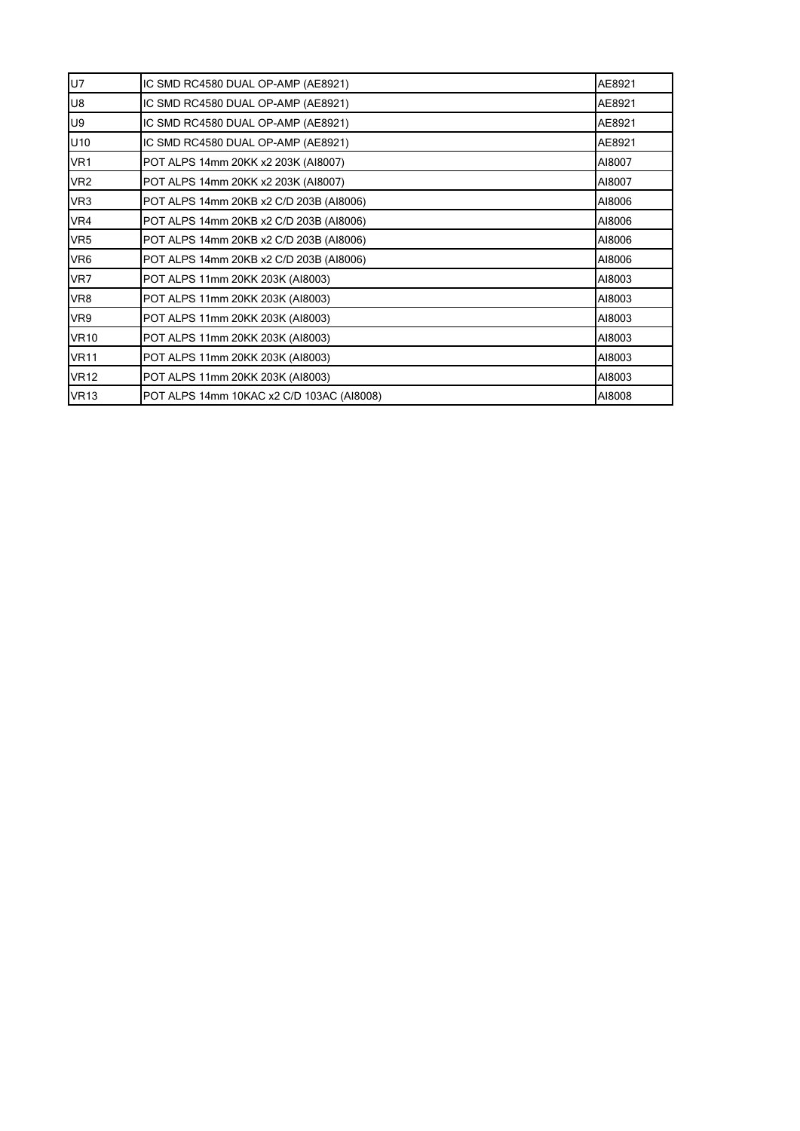| <b>U7</b>       | IC SMD RC4580 DUAL OP-AMP (AE8921)                | AE8921 |  |  |  |  |  |
|-----------------|---------------------------------------------------|--------|--|--|--|--|--|
| <b>U8</b>       | IC SMD RC4580 DUAL OP-AMP (AE8921)                | AE8921 |  |  |  |  |  |
| U9              | IC SMD RC4580 DUAL OP-AMP (AE8921)                | AE8921 |  |  |  |  |  |
| U10             | IC SMD RC4580 DUAL OP-AMP (AE8921)                | AE8921 |  |  |  |  |  |
| VR <sub>1</sub> | POT ALPS 14mm 20KK x2 203K (AI8007)<br>AI8007     |        |  |  |  |  |  |
| VR <sub>2</sub> | POT ALPS 14mm 20KK x2 203K (AI8007)<br>AI8007     |        |  |  |  |  |  |
| VR <sub>3</sub> | POT ALPS 14mm 20KB x2 C/D 203B (AI8006)           | AI8006 |  |  |  |  |  |
| VR4             | POT ALPS 14mm 20KB x2 C/D 203B (AI8006)<br>AI8006 |        |  |  |  |  |  |
| VR <sub>5</sub> | POT ALPS 14mm 20KB x2 C/D 203B (AI8006)<br>AI8006 |        |  |  |  |  |  |
| VR <sub>6</sub> | POT ALPS 14mm 20KB x2 C/D 203B (AI8006)           | AI8006 |  |  |  |  |  |
| VR7             | POT ALPS 11mm 20KK 203K (AI8003)                  | AI8003 |  |  |  |  |  |
| VR8             | POT ALPS 11mm 20KK 203K (AI8003)                  | AI8003 |  |  |  |  |  |
| VR9             | POT ALPS 11mm 20KK 203K (AI8003)                  | AI8003 |  |  |  |  |  |
| <b>VR10</b>     | POT ALPS 11mm 20KK 203K (AI8003)                  | AI8003 |  |  |  |  |  |
| <b>VR11</b>     | POT ALPS 11mm 20KK 203K (AI8003)                  | AI8003 |  |  |  |  |  |
| <b>VR12</b>     | POT ALPS 11mm 20KK 203K (AI8003)                  | AI8003 |  |  |  |  |  |
| <b>VR13</b>     | POT ALPS 14mm 10KAC x2 C/D 103AC (AI8008)         | AI8008 |  |  |  |  |  |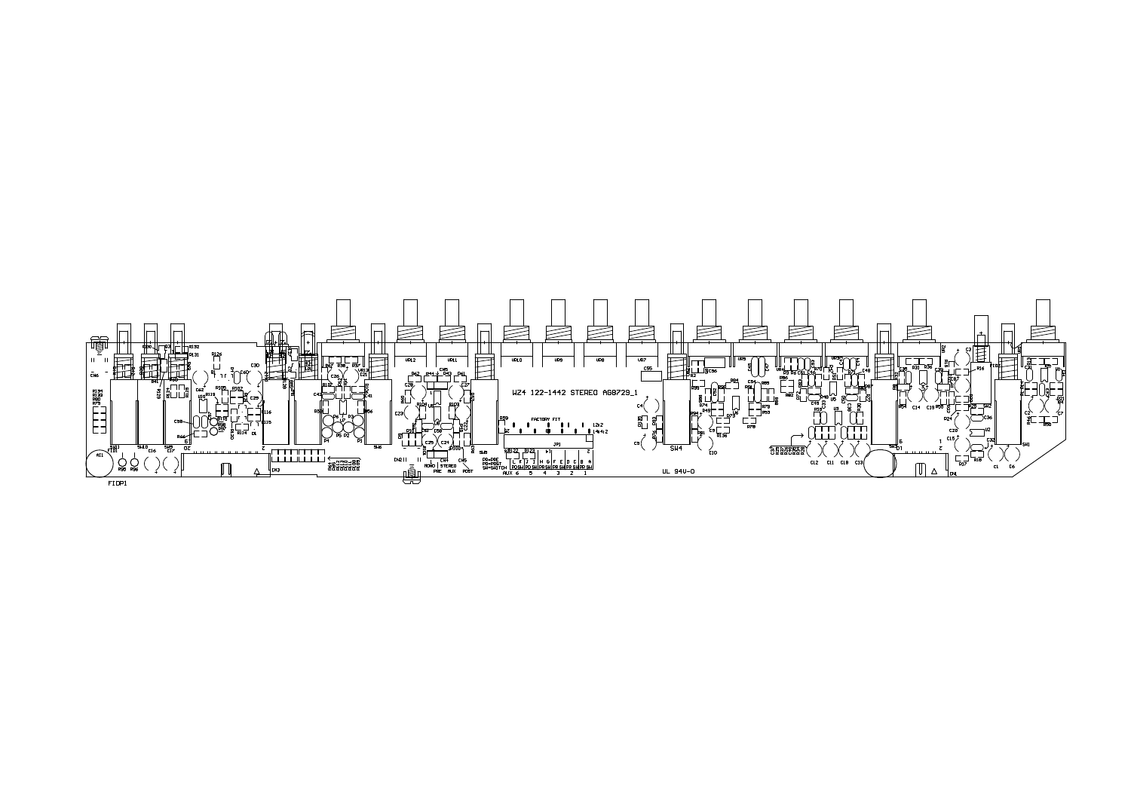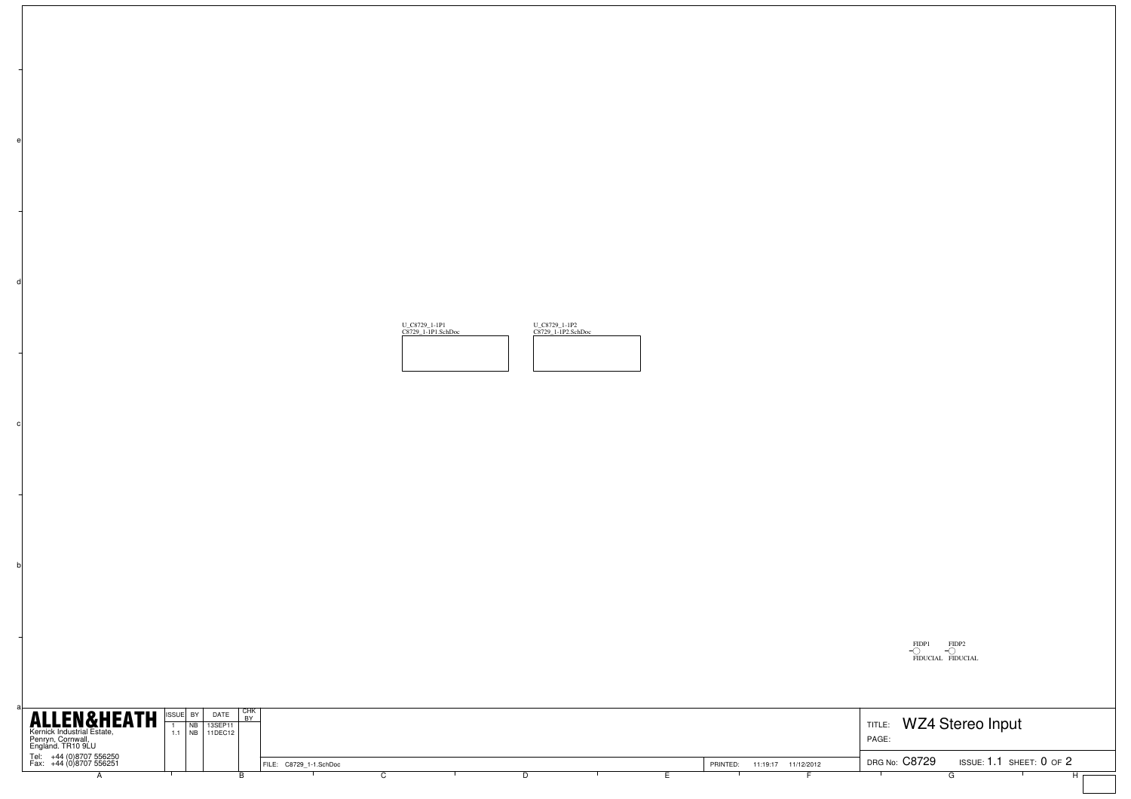

b

c

d



| <b>ALLEN&amp;HEATH</b>                                               |          | DATE                   | I CHK |                        |  |  |          |                     |                 |                            |  |
|----------------------------------------------------------------------|----------|------------------------|-------|------------------------|--|--|----------|---------------------|-----------------|----------------------------|--|
| Kernick Industrial Estate,<br>Penryn, Cornwall,<br>England. TR10 9LU | $1.1$ NB | $'$ 13SEP11<br>11DEC12 |       |                        |  |  |          |                     | TITLE:<br>PAGE: | WZ4 Stereo Input           |  |
|                                                                      |          |                        |       |                        |  |  |          |                     |                 |                            |  |
| Tel: +44 (0)8707 556250<br>Fax: +44 (0)8707 556251                   |          |                        |       | FILE: C8729 1-1.SchDoc |  |  | PRINTED: | 11:19:17 11/12/2012 | DRG No: C8729   | ISSUE: $1.1$ SHEET: 0 OF 2 |  |
|                                                                      |          |                        |       |                        |  |  |          |                     |                 |                            |  |
|                                                                      |          |                        |       |                        |  |  |          |                     |                 |                            |  |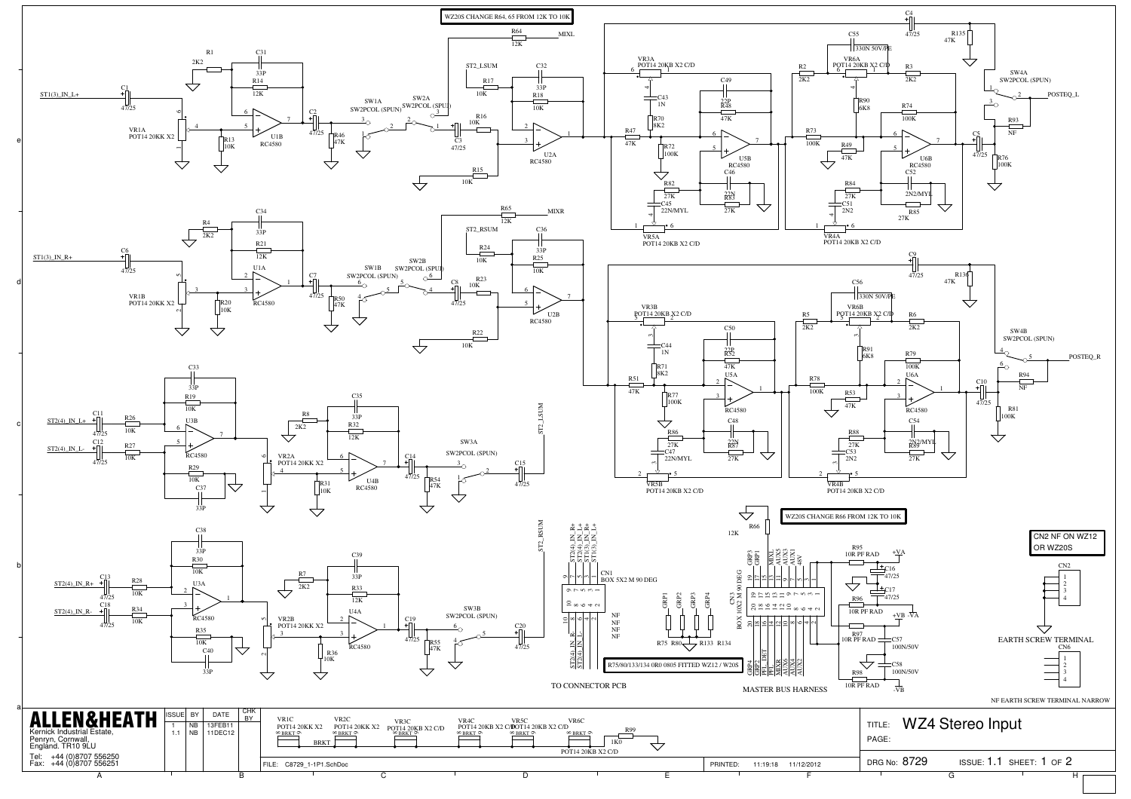